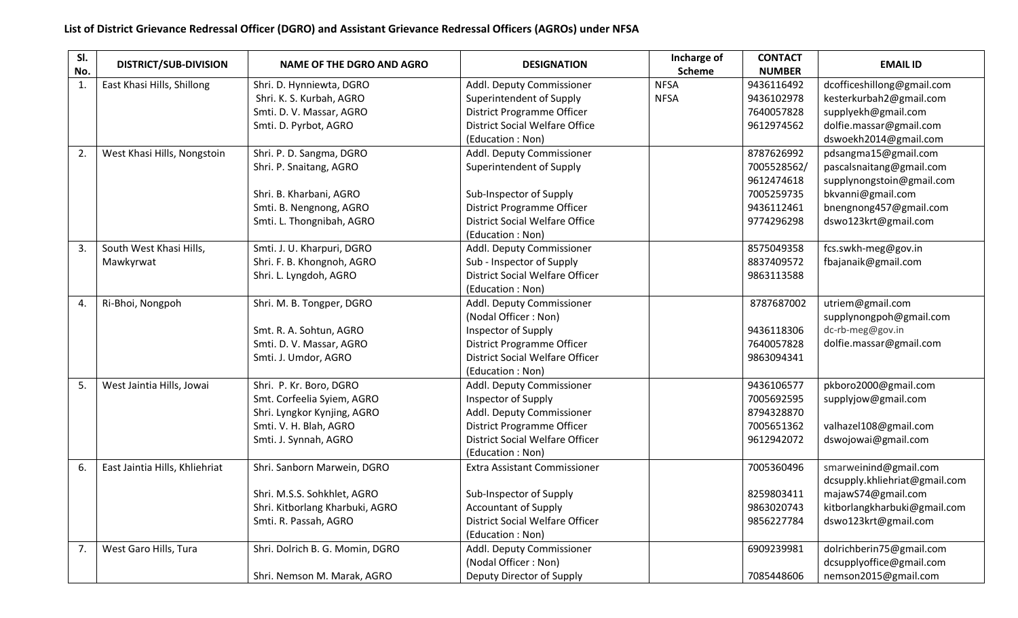## **List of District Grievance Redressal Officer (DGRO) and Assistant Grievance Redressal Officers (AGROs) under NFSA**

| SI.<br>No. | DISTRICT/SUB-DIVISION          | <b>NAME OF THE DGRO AND AGRO</b> | <b>DESIGNATION</b>                     | Incharge of<br><b>Scheme</b> | <b>CONTACT</b><br><b>NUMBER</b> | <b>EMAIL ID</b>               |
|------------|--------------------------------|----------------------------------|----------------------------------------|------------------------------|---------------------------------|-------------------------------|
| 1.         | East Khasi Hills, Shillong     | Shri. D. Hynniewta, DGRO         | Addl. Deputy Commissioner              | <b>NFSA</b>                  | 9436116492                      | dcofficeshillong@gmail.com    |
|            |                                | Shri. K. S. Kurbah, AGRO         | Superintendent of Supply               | <b>NFSA</b>                  | 9436102978                      | kesterkurbah2@gmail.com       |
|            |                                | Smti. D. V. Massar, AGRO         | District Programme Officer             |                              | 7640057828                      | supplyekh@gmail.com           |
|            |                                | Smti. D. Pyrbot, AGRO            | <b>District Social Welfare Office</b>  |                              | 9612974562                      | dolfie.massar@gmail.com       |
|            |                                |                                  | (Education: Non)                       |                              |                                 | dswoekh2014@gmail.com         |
| 2.         | West Khasi Hills, Nongstoin    | Shri. P. D. Sangma, DGRO         | Addl. Deputy Commissioner              |                              | 8787626992                      | pdsangma15@gmail.com          |
|            |                                | Shri. P. Snaitang, AGRO          | Superintendent of Supply               |                              | 7005528562/                     | pascalsnaitang@gmail.com      |
|            |                                |                                  |                                        |                              | 9612474618                      | supplynongstoin@gmail.com     |
|            |                                | Shri. B. Kharbani, AGRO          | Sub-Inspector of Supply                |                              | 7005259735                      | bkvanni@gmail.com             |
|            |                                | Smti. B. Nengnong, AGRO          | District Programme Officer             |                              | 9436112461                      | bnengnong457@gmail.com        |
|            |                                | Smti. L. Thongnibah, AGRO        | <b>District Social Welfare Office</b>  |                              | 9774296298                      | dswo123krt@gmail.com          |
|            |                                |                                  | (Education: Non)                       |                              |                                 |                               |
| 3.         | South West Khasi Hills,        | Smti. J. U. Kharpuri, DGRO       | Addl. Deputy Commissioner              |                              | 8575049358                      | fcs.swkh-meg@gov.in           |
|            | Mawkyrwat                      | Shri. F. B. Khongnoh, AGRO       | Sub - Inspector of Supply              |                              | 8837409572                      | fbajanaik@gmail.com           |
|            |                                | Shri. L. Lyngdoh, AGRO           | <b>District Social Welfare Officer</b> |                              | 9863113588                      |                               |
|            |                                |                                  | (Education: Non)                       |                              |                                 |                               |
| 4.         | Ri-Bhoi, Nongpoh               | Shri. M. B. Tongper, DGRO        | Addl. Deputy Commissioner              |                              | 8787687002                      | utriem@gmail.com              |
|            |                                |                                  | (Nodal Officer: Non)                   |                              |                                 | supplynongpoh@gmail.com       |
|            |                                | Smt. R. A. Sohtun, AGRO          | Inspector of Supply                    |                              | 9436118306                      | dc-rb-meg@gov.in              |
|            |                                | Smti. D. V. Massar, AGRO         | District Programme Officer             |                              | 7640057828                      | dolfie.massar@gmail.com       |
|            |                                | Smti. J. Umdor, AGRO             | District Social Welfare Officer        |                              | 9863094341                      |                               |
|            |                                |                                  | (Education: Non)                       |                              |                                 |                               |
| 5.         | West Jaintia Hills, Jowai      | Shri. P. Kr. Boro, DGRO          | Addl. Deputy Commissioner              |                              | 9436106577                      | pkboro2000@gmail.com          |
|            |                                | Smt. Corfeelia Syiem, AGRO       | Inspector of Supply                    |                              | 7005692595                      | supplyjow@gmail.com           |
|            |                                | Shri. Lyngkor Kynjing, AGRO      | Addl. Deputy Commissioner              |                              | 8794328870                      |                               |
|            |                                | Smti. V. H. Blah, AGRO           | District Programme Officer             |                              | 7005651362                      | valhazel108@gmail.com         |
|            |                                | Smti. J. Synnah, AGRO            | District Social Welfare Officer        |                              | 9612942072                      | dswojowai@gmail.com           |
|            |                                |                                  | (Education: Non)                       |                              |                                 |                               |
| 6.         | East Jaintia Hills, Khliehriat | Shri. Sanborn Marwein, DGRO      | <b>Extra Assistant Commissioner</b>    |                              | 7005360496                      | smarweinind@gmail.com         |
|            |                                |                                  |                                        |                              |                                 | dcsupply.khliehriat@gmail.com |
|            |                                | Shri. M.S.S. Sohkhlet, AGRO      | Sub-Inspector of Supply                |                              | 8259803411                      | majawS74@gmail.com            |
|            |                                | Shri. Kitborlang Kharbuki, AGRO  | <b>Accountant of Supply</b>            |                              | 9863020743                      | kitborlangkharbuki@gmail.com  |
|            |                                | Smti. R. Passah, AGRO            | District Social Welfare Officer        |                              | 9856227784                      | dswo123krt@gmail.com          |
|            |                                |                                  | (Education: Non)                       |                              |                                 |                               |
| 7.         | West Garo Hills, Tura          | Shri. Dolrich B. G. Momin, DGRO  | Addl. Deputy Commissioner              |                              | 6909239981                      | dolrichberin75@gmail.com      |
|            |                                |                                  | (Nodal Officer: Non)                   |                              |                                 | dcsupplyoffice@gmail.com      |
|            |                                | Shri. Nemson M. Marak, AGRO      | Deputy Director of Supply              |                              | 7085448606                      | nemson2015@gmail.com          |